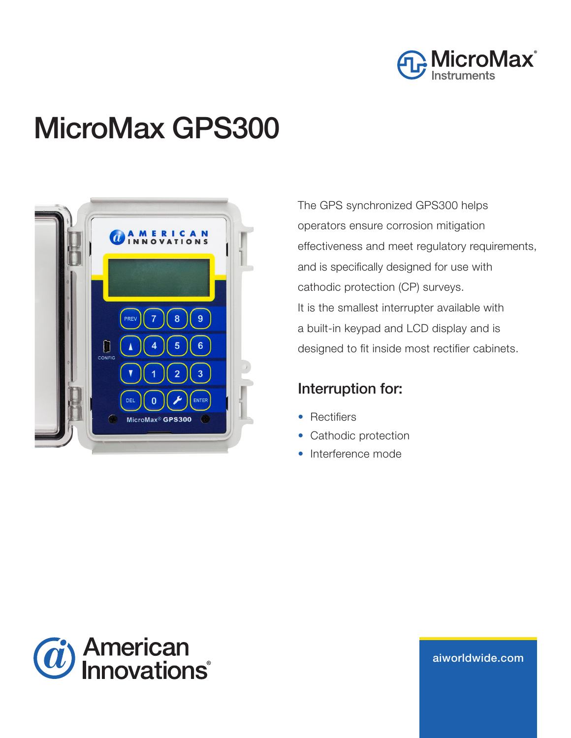

# MicroMax GPS300



The GPS synchronized GPS300 helps operators ensure corrosion mitigation effectiveness and meet regulatory requirements, and is specifically designed for use with cathodic protection (CP) surveys. It is the smallest interrupter available with a built-in keypad and LCD display and is designed to fit inside most rectifier cabinets.

## Interruption for:

- Rectifiers
- Cathodic protection
- Interference mode



aiworldwide.com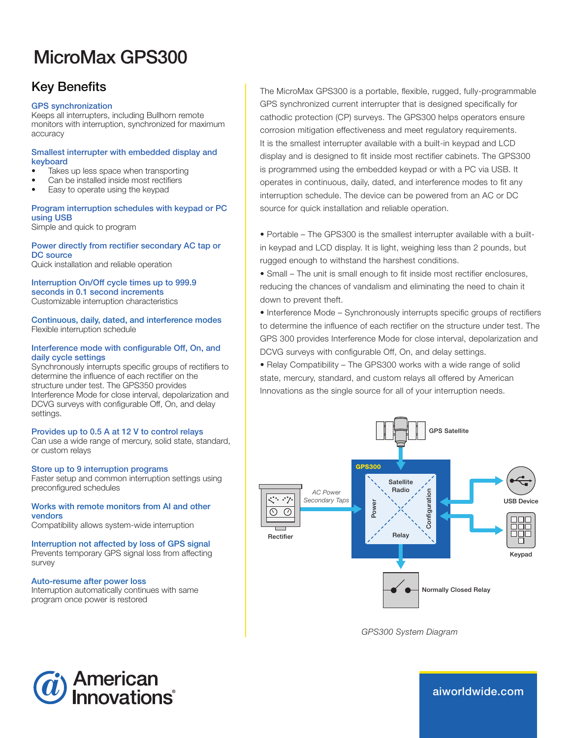## MicroMax GPS300

## Key Benefits

#### GPS synchronization

Keeps all interrupters, including Bullhorn remote monitors with interruption, synchronized for maximum accuracy

#### Smallest interrupter with embedded display and keyboard

- Takes up less space when transporting
- Can be installed inside most rectifiers
- Easy to operate using the keypad

#### Program interruption schedules with keypad or PC using USB

Simple and quick to program

#### Power directly from rectifier secondary AC tap or DC source Quick installation and reliable operation

Interruption On/Off cycle times up to 999.9 seconds in 0.1 second increments

Customizable interruption characteristics

Continuous, daily, dated, and interference modes Flexible interruption schedule

#### Interference mode with configurable Off, On, and daily cycle settings

Synchronously interrupts specific groups of rectifiers to determine the influence of each rectifier on the structure under test. The GPS350 provides Interference Mode for close interval, depolarization and DCVG surveys with configurable Off, On, and delay settings.

#### Provides up to 0.5 A at 12 V to control relays

Can use a wide range of mercury, solid state, standard, or custom relays

#### Store up to 9 interruption programs

Faster setup and common interruption settings using preconfigured schedules

#### Works with remote monitors from AI and other vendors

Compatibility allows system-wide interruption

### Interruption not affected by loss of GPS signal

Prevents temporary GPS signal loss from affecting survey

#### Auto-resume after power loss

Interruption automatically continues with same program once power is restored

The MicroMax GPS300 is a portable, flexible, rugged, fully-programmable GPS synchronized current interrupter that is designed specifically for cathodic protection (CP) surveys. The GPS300 helps operators ensure corrosion mitigation effectiveness and meet regulatory requirements. It is the smallest interrupter available with a built-in keypad and LCD display and is designed to fit inside most rectifier cabinets. The GPS300 is programmed using the embedded keypad or with a PC via USB. It operates in continuous, daily, dated, and interference modes to fit any interruption schedule. The device can be powered from an AC or DC source for quick installation and reliable operation.

• Portable – The GPS300 is the smallest interrupter available with a builtin keypad and LCD display. It is light, weighing less than 2 pounds, but rugged enough to withstand the harshest conditions.

• Small – The unit is small enough to fit inside most rectifier enclosures, reducing the chances of vandalism and eliminating the need to chain it down to prevent theft.

• Interference Mode – Synchronously interrupts specific groups of rectifiers to determine the influence of each rectifier on the structure under test. The GPS 300 provides Interference Mode for close interval, depolarization and DCVG surveys with configurable Off, On, and delay settings.

• Relay Compatibility – The GPS300 works with a wide range of solid state, mercury, standard, and custom relays all offered by American Innovations as the single source for all of your interruption needs.



*GPS300 System Diagram*



aiworldwide.com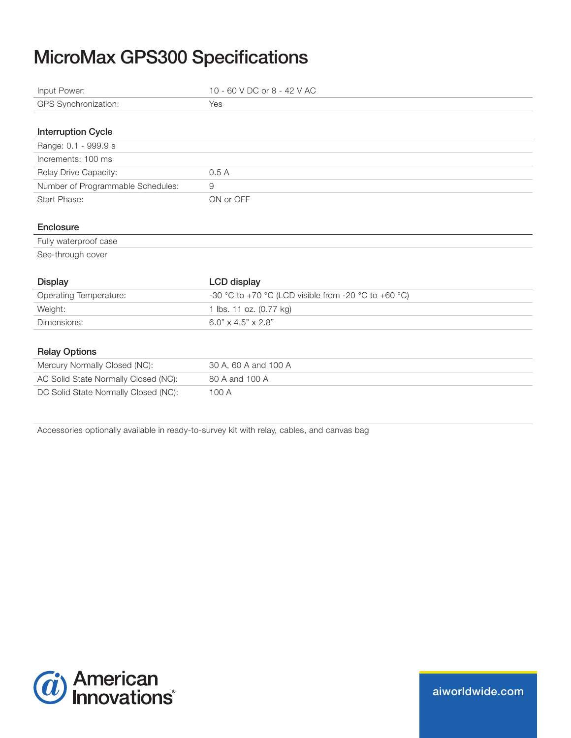## MicroMax GPS300 Specifications

| Input Power:                         | 10 - 60 V DC or 8 - 42 V AC                          |
|--------------------------------------|------------------------------------------------------|
| GPS Synchronization:                 | Yes                                                  |
|                                      |                                                      |
| <b>Interruption Cycle</b>            |                                                      |
| Range: 0.1 - 999.9 s                 |                                                      |
| Increments: 100 ms                   |                                                      |
| Relay Drive Capacity:                | 0.5A                                                 |
| Number of Programmable Schedules:    | 9                                                    |
| Start Phase:                         | ON or OFF                                            |
|                                      |                                                      |
| Enclosure                            |                                                      |
| Fully waterproof case                |                                                      |
| See-through cover                    |                                                      |
|                                      |                                                      |
| <b>Display</b>                       | <b>LCD</b> display                                   |
| <b>Operating Temperature:</b>        | -30 °C to +70 °C (LCD visible from -20 °C to +60 °C) |
| Weight:                              | 1 lbs. 11 oz. (0.77 kg)                              |
| Dimensions:                          | $6.0" \times 4.5" \times 2.8"$                       |
|                                      |                                                      |
| <b>Relay Options</b>                 |                                                      |
| Mercury Normally Closed (NC):        | 30 A, 60 A and 100 A                                 |
| AC Solid State Normally Closed (NC): | 80 A and 100 A                                       |
| DC Solid State Normally Closed (NC): | 100 A                                                |
|                                      |                                                      |

Accessories optionally available in ready-to-survey kit with relay, cables, and canvas bag



aiworldwide.com